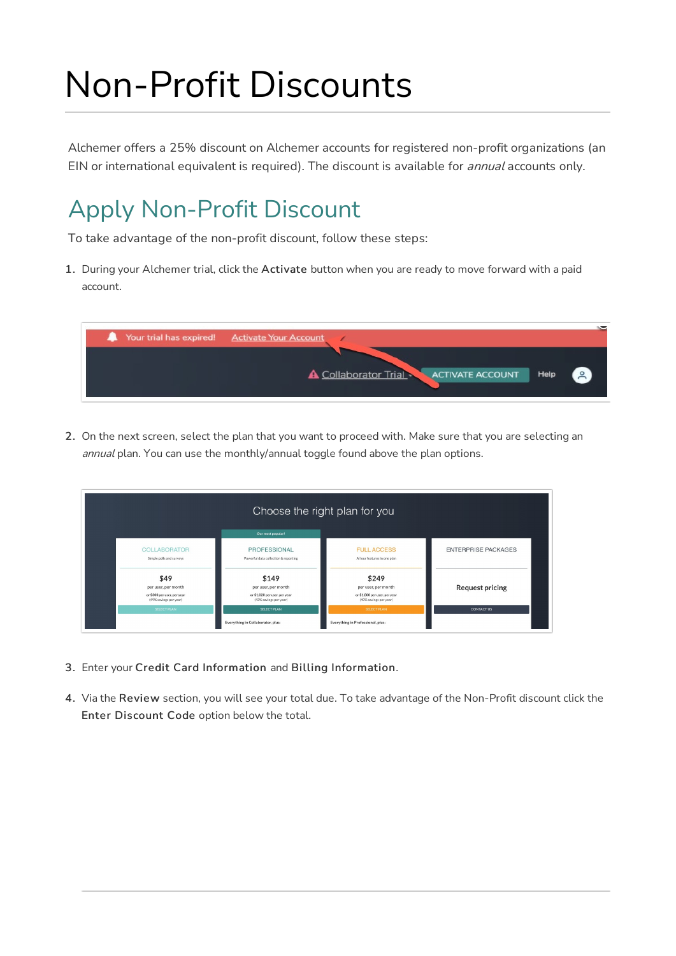# Non-Profit Discounts

Alchemer offers a 25% discount on Alchemer accounts for registered non-profit organizations (an EIN or international equivalent is required). The discount is available for *annual* accounts only.

### Apply Non-Profit Discount

To take advantage of the non-profit discount, follow these steps:

1. During your Alchemer trial, click the Activate button when you are ready to move forward with a paid account.

| Your trial has expired! Activate Your Account                                        |
|--------------------------------------------------------------------------------------|
| $\left( 2 \right)$<br><b>A</b> Collaborator Trial<br>Help<br><b>ACTIVATE ACCOUNT</b> |

2. On the next screen, select the plan that you want to proceed with. Make sure that you are selecting an annual plan. You can use the monthly/annual toggle found above the plan options.

|                                                                                      |                                                                                         | Choose the right plan for you                                                           |                            |
|--------------------------------------------------------------------------------------|-----------------------------------------------------------------------------------------|-----------------------------------------------------------------------------------------|----------------------------|
|                                                                                      | Our most popular!                                                                       |                                                                                         |                            |
| <b>COLLABORATOR</b><br>Simple polls and surveys                                      | PROFESSIONAL<br>Powerful data collection & reporting                                    | <b>FULL ACCESS</b><br>All our features in one plan                                      | <b>ENTERPRISE PACKAGES</b> |
| \$49<br>per user, per month<br>or \$300 per user, per year<br>(49% savings per year) | \$149<br>per user, per month<br>or \$1,020 per user, per year<br>(43% savings per year) | \$249<br>per user, per month<br>or \$1,800 per user, per year<br>(40% savings per year) | <b>Request pricing</b>     |
| SELECT PLAN                                                                          | <b>SELECT PLAN</b>                                                                      | <b>SELECT PLAN</b>                                                                      | <b>CONTACT US</b>          |
|                                                                                      | Everything in Collaborator, plus:                                                       | Everything in Professional, plus:                                                       |                            |

- 3. Enter your Credit Card Information and Billing Information.
- 4. Via the Review section, you will see your total due. To take advantage of the Non-Profit discount click the Enter Discount Code option below the total.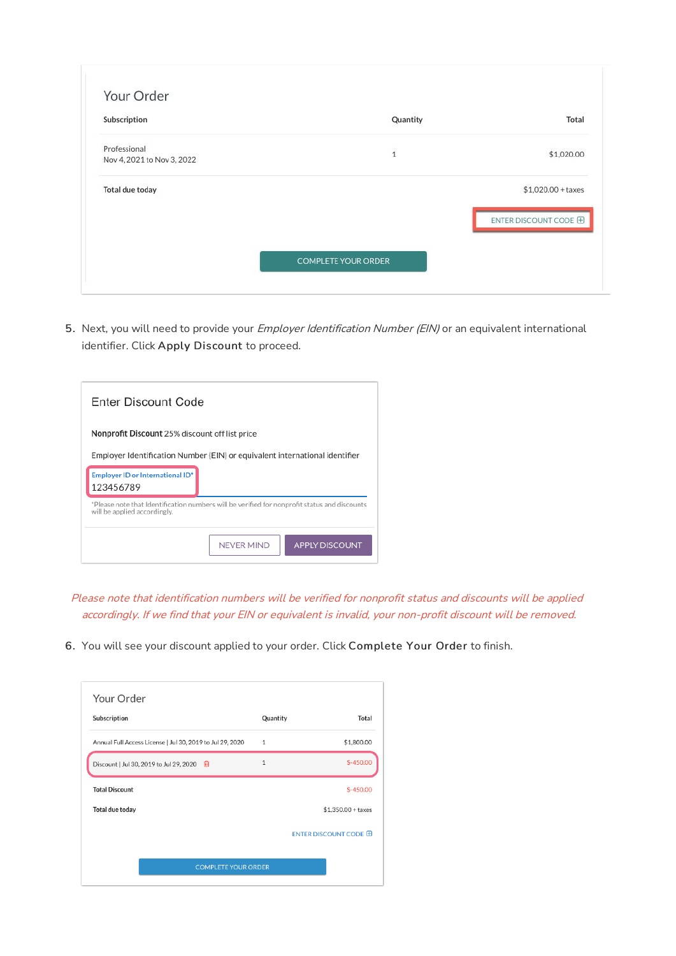| Subscription               | Quantity                   | Total                 |
|----------------------------|----------------------------|-----------------------|
| Professional               | $\mathbf{1}$               | \$1,020.00            |
| Nov 4, 2021 to Nov 3, 2022 |                            |                       |
| Total due today            |                            | $$1,020.00 + taxes$   |
|                            |                            | ENTER DISCOUNT CODE E |
|                            |                            |                       |
|                            | <b>COMPLETE YOUR ORDER</b> |                       |

5. Next, you will need to provide your Employer Identification Number (EIN) or an equivalent international identifier. Click Apply Discount to proceed.

| Enter Discount Code                            |                                                                                              |
|------------------------------------------------|----------------------------------------------------------------------------------------------|
| Nonprofit Discount 25% discount off list price |                                                                                              |
|                                                | Employer Identification Number (EIN) or equivalent international identifier                  |
| Employer ID or International ID*<br>123456789  |                                                                                              |
| will be applied accordingly.                   | *Please note that Identification numbers will be verified for nonprofit status and discounts |
|                                                | <b>APPLY DISCOUNT</b><br><b>NEVER MIND</b>                                                   |

Please note that identification numbers will be verified for nonprofit status and discounts will be applied accordingly. If we find that your EIN or equivalent is invalid, your non-profit discount will be removed.

6. You will see your discount applied to your order. Click Complete Your Order to finish.

| 1<br>$\mathbf{1}$ | \$1,800.00            |
|-------------------|-----------------------|
|                   |                       |
|                   | $$-450.00$            |
|                   | $$-450.00$            |
|                   | $$1,350.00 + taxes$   |
|                   | ENTER DISCOUNT CODE H |
|                   |                       |